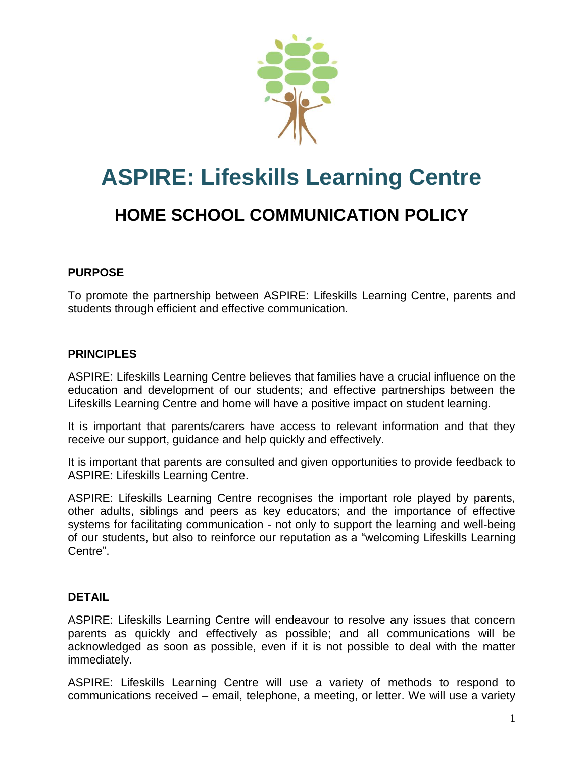

# **ASPIRE: Lifeskills Learning Centre HOME SCHOOL COMMUNICATION POLICY**

## **PURPOSE**

To promote the partnership between ASPIRE: Lifeskills Learning Centre, parents and students through efficient and effective communication.

## **PRINCIPLES**

ASPIRE: Lifeskills Learning Centre believes that families have a crucial influence on the education and development of our students; and effective partnerships between the Lifeskills Learning Centre and home will have a positive impact on student learning.

It is important that parents/carers have access to relevant information and that they receive our support, guidance and help quickly and effectively.

It is important that parents are consulted and given opportunities to provide feedback to ASPIRE: Lifeskills Learning Centre.

ASPIRE: Lifeskills Learning Centre recognises the important role played by parents, other adults, siblings and peers as key educators; and the importance of effective systems for facilitating communication - not only to support the learning and well-being of our students, but also to reinforce our reputation as a "welcoming Lifeskills Learning Centre".

#### **DETAIL**

ASPIRE: Lifeskills Learning Centre will endeavour to resolve any issues that concern parents as quickly and effectively as possible; and all communications will be acknowledged as soon as possible, even if it is not possible to deal with the matter immediately.

ASPIRE: Lifeskills Learning Centre will use a variety of methods to respond to communications received – email, telephone, a meeting, or letter. We will use a variety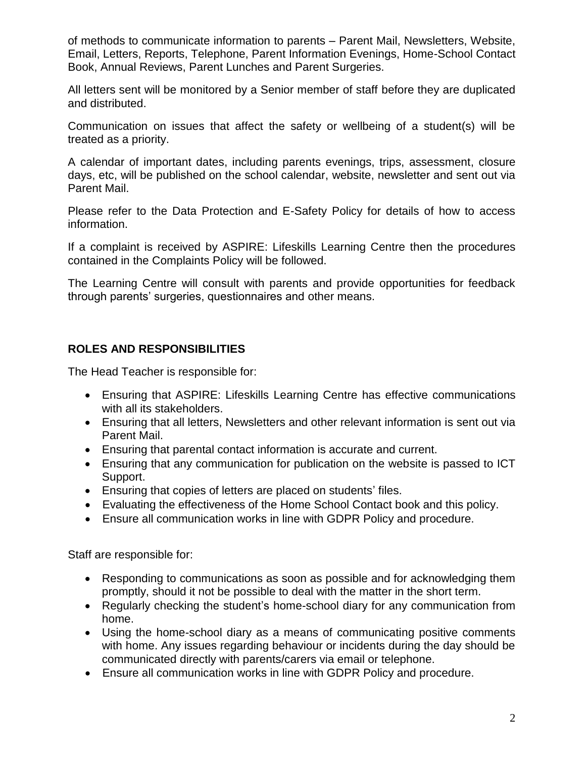of methods to communicate information to parents – Parent Mail, Newsletters, Website, Email, Letters, Reports, Telephone, Parent Information Evenings, Home-School Contact Book, Annual Reviews, Parent Lunches and Parent Surgeries.

All letters sent will be monitored by a Senior member of staff before they are duplicated and distributed.

Communication on issues that affect the safety or wellbeing of a student(s) will be treated as a priority.

A calendar of important dates, including parents evenings, trips, assessment, closure days, etc, will be published on the school calendar, website, newsletter and sent out via Parent Mail.

Please refer to the Data Protection and E-Safety Policy for details of how to access information.

If a complaint is received by ASPIRE: Lifeskills Learning Centre then the procedures contained in the Complaints Policy will be followed.

The Learning Centre will consult with parents and provide opportunities for feedback through parents' surgeries, questionnaires and other means.

#### **ROLES AND RESPONSIBILITIES**

The Head Teacher is responsible for:

- Ensuring that ASPIRE: Lifeskills Learning Centre has effective communications with all its stakeholders.
- Ensuring that all letters, Newsletters and other relevant information is sent out via Parent Mail.
- Ensuring that parental contact information is accurate and current.
- Ensuring that any communication for publication on the website is passed to ICT Support.
- Ensuring that copies of letters are placed on students' files.
- Evaluating the effectiveness of the Home School Contact book and this policy.
- Ensure all communication works in line with GDPR Policy and procedure.

Staff are responsible for:

- Responding to communications as soon as possible and for acknowledging them promptly, should it not be possible to deal with the matter in the short term.
- Regularly checking the student's home-school diary for any communication from home.
- Using the home-school diary as a means of communicating positive comments with home. Any issues regarding behaviour or incidents during the day should be communicated directly with parents/carers via email or telephone.
- Ensure all communication works in line with GDPR Policy and procedure.